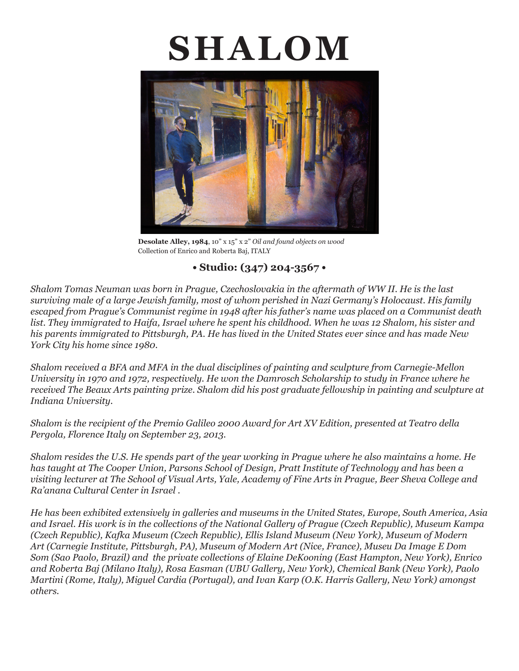# **SHALOM**



**Desolate Alley, 1984**, 10" x 15" x 2" *Oil and found objects on wood* Collection of Enrico and Roberta Baj, ITALY

# **• Studio: (347) 204-3567 •**

*Shalom Tomas Neuman was born in Prague, Czechoslovakia in the aftermath of WW II. He is the last surviving male of a large Jewish family, most of whom perished in Nazi Germany's Holocaust. His family escaped from Prague's Communist regime in 1948 after his father's name was placed on a Communist death list. They immigrated to Haifa, Israel where he spent his childhood. When he was 12 Shalom, his sister and his parents immigrated to Pittsburgh, PA. He has lived in the United States ever since and has made New York City his home since 1980.*

*Shalom received a BFA and MFA in the dual disciplines of painting and sculpture from Carnegie-Mellon University in 1970 and 1972, respectively. He won the Damrosch Scholarship to study in France where he received The Beaux Arts painting prize. Shalom did his post graduate fellowship in painting and sculpture at Indiana University.*

*Shalom is the recipient of the Premio Galileo 2000 Award for Art XV Edition, presented at Teatro della Pergola, Florence Italy on September 23, 2013.*

*Shalom resides the U.S. He spends part of the year working in Prague where he also maintains a home. He has taught at The Cooper Union, Parsons School of Design, Pratt Institute of Technology and has been a visiting lecturer at The School of Visual Arts, Yale, Academy of Fine Arts in Prague, Beer Sheva College and Ra'anana Cultural Center in Israel .* 

*He has been exhibited extensively in galleries and museums in the United States, Europe, South America, Asia and Israel. His work is in the collections of the National Gallery of Prague (Czech Republic), Museum Kampa (Czech Republic), Kafka Museum (Czech Republic), Ellis Island Museum (New York), Museum of Modern Art (Carnegie Institute, Pittsburgh, PA), Museum of Modern Art (Nice, France), Museu Da Image E Dom Som (Sao Paolo, Brazil) and the private collections of Elaine DeKooning (East Hampton, New York), Enrico and Roberta Baj (Milano Italy), Rosa Easman (UBU Gallery, New York), Chemical Bank (New York), Paolo Martini (Rome, Italy), Miguel Cardia (Portugal), and Ivan Karp (O.K. Harris Gallery, New York) amongst others.*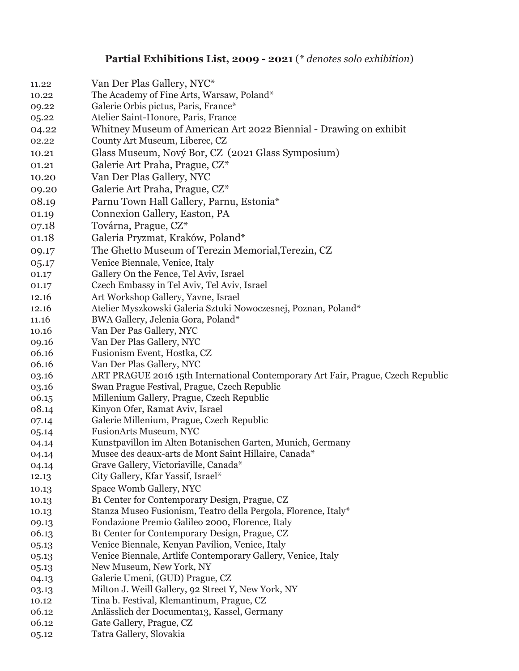# **Partial Exhibitions List, 2009 - 2021** (*\* denotes solo exhibition*)

| 11.22 | Van Der Plas Gallery, NYC*                                                       |
|-------|----------------------------------------------------------------------------------|
| 10.22 | The Academy of Fine Arts, Warsaw, Poland*                                        |
| 09.22 | Galerie Orbis pictus, Paris, France*                                             |
| 05.22 | Atelier Saint-Honore, Paris, France                                              |
| 04.22 | Whitney Museum of American Art 2022 Biennial - Drawing on exhibit                |
| 02.22 | County Art Museum, Liberec, CZ                                                   |
| 10.21 | Glass Museum, Nový Bor, CZ (2021 Glass Symposium)                                |
| 01.21 | Galerie Art Praha, Prague, CZ*                                                   |
| 10.20 | Van Der Plas Gallery, NYC                                                        |
| 09.20 | Galerie Art Praha, Prague, CZ*                                                   |
| 08.19 | Parnu Town Hall Gallery, Parnu, Estonia*                                         |
| 01.19 | Connexion Gallery, Easton, PA                                                    |
|       |                                                                                  |
| 07.18 | Továrna, Prague, CZ*                                                             |
| 01.18 | Galeria Pryzmat, Kraków, Poland*                                                 |
| 09.17 | The Ghetto Museum of Terezin Memorial, Terezin, CZ                               |
| 05.17 | Venice Biennale, Venice, Italy                                                   |
| 01.17 | Gallery On the Fence, Tel Aviv, Israel                                           |
| 01.17 | Czech Embassy in Tel Aviv, Tel Aviv, Israel                                      |
| 12.16 | Art Workshop Gallery, Yavne, Israel                                              |
| 12.16 | Atelier Myszkowski Galeria Sztuki Nowoczesnej, Poznan, Poland*                   |
| 11.16 | BWA Gallery, Jelenia Gora, Poland*                                               |
| 10.16 | Van Der Pas Gallery, NYC                                                         |
| 09.16 | Van Der Plas Gallery, NYC                                                        |
| 06.16 | Fusionism Event, Hostka, CZ                                                      |
| 06.16 | Van Der Plas Gallery, NYC                                                        |
| 03.16 | ART PRAGUE 2016 15th International Contemporary Art Fair, Prague, Czech Republic |
| 03.16 | Swan Prague Festival, Prague, Czech Republic                                     |
| 06.15 | Millenium Gallery, Prague, Czech Republic                                        |
| 08.14 | Kinyon Ofer, Ramat Aviv, Israel                                                  |
| 07.14 | Galerie Millenium, Prague, Czech Republic                                        |
| 05.14 | <b>FusionArts Museum, NYC</b>                                                    |
| 04.14 | Kunstpavillon im Alten Botanischen Garten, Munich, Germany                       |
| 04.14 | Musee des deaux-arts de Mont Saint Hillaire, Canada*                             |
| 04.14 | Grave Gallery, Victoriaville, Canada*                                            |
| 12.13 | City Gallery, Kfar Yassif, Israel*                                               |
| 10.13 | Space Womb Gallery, NYC                                                          |
| 10.13 | B1 Center for Contemporary Design, Prague, CZ                                    |
| 10.13 | Stanza Museo Fusionism, Teatro della Pergola, Florence, Italy*                   |
| 09.13 | Fondazione Premio Galileo 2000, Florence, Italy                                  |
| 06.13 | B1 Center for Contemporary Design, Prague, CZ                                    |
| 05.13 | Venice Biennale, Kenyan Pavilion, Venice, Italy                                  |
| 05.13 | Venice Biennale, Artlife Contemporary Gallery, Venice, Italy                     |
| 05.13 | New Museum, New York, NY                                                         |
| 04.13 | Galerie Umeni, (GUD) Prague, CZ                                                  |
| 03.13 | Milton J. Weill Gallery, 92 Street Y, New York, NY                               |
| 10.12 | Tina b. Festival, Klemantinum, Prague, CZ                                        |
| 06.12 | Anlässlich der Documenta13, Kassel, Germany                                      |
| 06.12 | Gate Gallery, Prague, CZ<br>Tatra Gallery, Slovakia                              |
| 05.12 |                                                                                  |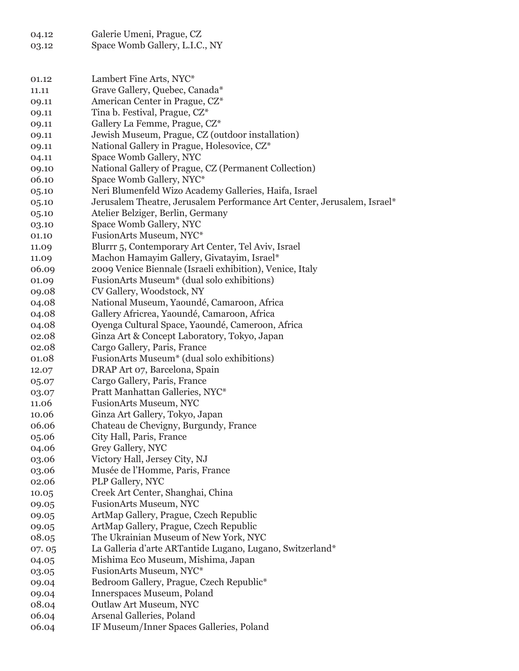| 04.12 | Galerie Umeni, Prague, CZ                                               |
|-------|-------------------------------------------------------------------------|
| 03.12 | Space Womb Gallery, L.I.C., NY                                          |
|       |                                                                         |
|       |                                                                         |
| 01.12 | Lambert Fine Arts, NYC*                                                 |
| 11.11 | Grave Gallery, Quebec, Canada*                                          |
| 09.11 | American Center in Prague, CZ*                                          |
| 09.11 | Tina b. Festival, Prague, CZ*                                           |
| 09.11 | Gallery La Femme, Prague, CZ*                                           |
| 09.11 | Jewish Museum, Prague, CZ (outdoor installation)                        |
| 09.11 | National Gallery in Prague, Holesovice, CZ*                             |
| 04.11 | Space Womb Gallery, NYC                                                 |
| 09.10 | National Gallery of Prague, CZ (Permanent Collection)                   |
| 06.10 | Space Womb Gallery, NYC*                                                |
| 05.10 | Neri Blumenfeld Wizo Academy Galleries, Haifa, Israel                   |
| 05.10 | Jerusalem Theatre, Jerusalem Performance Art Center, Jerusalem, Israel* |
| 05.10 | Atelier Belziger, Berlin, Germany                                       |
| 03.10 | Space Womb Gallery, NYC                                                 |
| 01.10 | FusionArts Museum, NYC*                                                 |
| 11.09 | Blurrr 5, Contemporary Art Center, Tel Aviv, Israel                     |
| 11.09 | Machon Hamayim Gallery, Givatayim, Israel*                              |
| 06.09 | 2009 Venice Biennale (Israeli exhibition), Venice, Italy                |
| 01.09 | FusionArts Museum* (dual solo exhibitions)                              |
| 09.08 | CV Gallery, Woodstock, NY                                               |
| 04.08 | National Museum, Yaoundé, Camaroon, Africa                              |
| 04.08 | Gallery Africrea, Yaoundé, Camaroon, Africa                             |
| 04.08 | Oyenga Cultural Space, Yaoundé, Cameroon, Africa                        |
| 02.08 | Ginza Art & Concept Laboratory, Tokyo, Japan                            |
| 02.08 | Cargo Gallery, Paris, France                                            |
| 01.08 | FusionArts Museum* (dual solo exhibitions)                              |
| 12.07 | DRAP Art 07, Barcelona, Spain                                           |
| 05.07 | Cargo Gallery, Paris, France                                            |
| 03.07 | Pratt Manhattan Galleries, NYC*                                         |
| 11.06 | <b>FusionArts Museum, NYC</b>                                           |
| 10.06 | Ginza Art Gallery, Tokyo, Japan                                         |
| 06.06 | Chateau de Chevigny, Burgundy, France                                   |
| 05.06 | City Hall, Paris, France                                                |
| 04.06 | Grey Gallery, NYC                                                       |
| 03.06 | Victory Hall, Jersey City, NJ                                           |
| 03.06 | Musée de l'Homme, Paris, France                                         |
| 02.06 | PLP Gallery, NYC                                                        |
| 10.05 | Creek Art Center, Shanghai, China                                       |
| 09.05 | <b>FusionArts Museum, NYC</b>                                           |
| 09.05 | ArtMap Gallery, Prague, Czech Republic                                  |
| 09.05 | ArtMap Gallery, Prague, Czech Republic                                  |
| 08.05 | The Ukrainian Museum of New York, NYC                                   |
| 07.05 | La Galleria d'arte ARTantide Lugano, Lugano, Switzerland*               |
| 04.05 | Mishima Eco Museum, Mishima, Japan                                      |
| 03.05 | FusionArts Museum, NYC*                                                 |
| 09.04 | Bedroom Gallery, Prague, Czech Republic*                                |
| 09.04 | Innerspaces Museum, Poland                                              |
| 08.04 | Outlaw Art Museum, NYC                                                  |
| 06.04 | Arsenal Galleries, Poland                                               |
| 06.04 | IF Museum/Inner Spaces Galleries, Poland                                |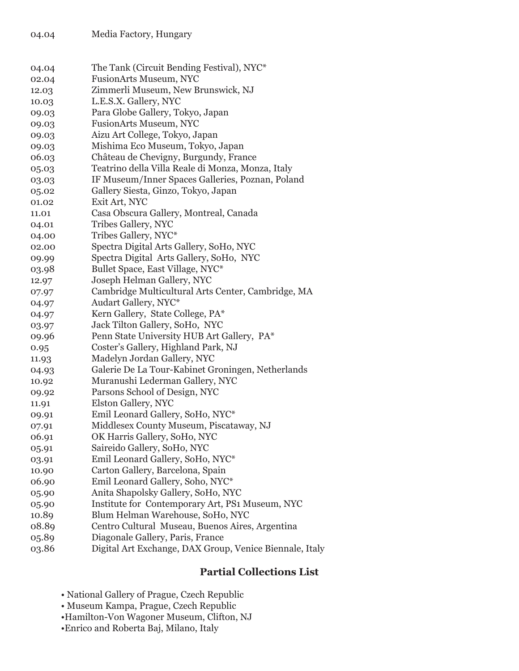| 04.04 | The Tank (Circuit Bending Festival), NYC*               |
|-------|---------------------------------------------------------|
| 02.04 | <b>FusionArts Museum, NYC</b>                           |
| 12.03 | Zimmerli Museum, New Brunswick, NJ                      |
| 10.03 | L.E.S.X. Gallery, NYC                                   |
| 09.03 | Para Globe Gallery, Tokyo, Japan                        |
| 09.03 | <b>FusionArts Museum, NYC</b>                           |
| 09.03 | Aizu Art College, Tokyo, Japan                          |
| 09.03 | Mishima Eco Museum, Tokyo, Japan                        |
| 06.03 | Château de Chevigny, Burgundy, France                   |
| 05.03 | Teatrino della Villa Reale di Monza, Monza, Italy       |
| 03.03 | IF Museum/Inner Spaces Galleries, Poznan, Poland        |
| 05.02 | Gallery Siesta, Ginzo, Tokyo, Japan                     |
| 01.02 | Exit Art, NYC                                           |
| 11.01 | Casa Obscura Gallery, Montreal, Canada                  |
| 04.01 | Tribes Gallery, NYC                                     |
| 04.00 | Tribes Gallery, NYC*                                    |
| 02.00 | Spectra Digital Arts Gallery, SoHo, NYC                 |
| 09.99 | Spectra Digital Arts Gallery, SoHo, NYC                 |
| 03.98 | Bullet Space, East Village, NYC*                        |
| 12.97 | Joseph Helman Gallery, NYC                              |
| 07.97 | Cambridge Multicultural Arts Center, Cambridge, MA      |
| 04.97 | Audart Gallery, NYC*                                    |
| 04.97 | Kern Gallery, State College, PA*                        |
| 03.97 | Jack Tilton Gallery, SoHo, NYC                          |
| 09.96 | Penn State University HUB Art Gallery, PA*              |
| 0.95  | Coster's Gallery, Highland Park, NJ                     |
| 11.93 | Madelyn Jordan Gallery, NYC                             |
| 04.93 | Galerie De La Tour-Kabinet Groningen, Netherlands       |
| 10.92 | Muranushi Lederman Gallery, NYC                         |
| 09.92 | Parsons School of Design, NYC                           |
| 11.91 | Elston Gallery, NYC                                     |
| 09.91 | Emil Leonard Gallery, SoHo, NYC*                        |
| 07.91 | Middlesex County Museum, Piscataway, NJ                 |
| 06.91 | OK Harris Gallery, SoHo, NYC                            |
| 05.91 | Saireido Gallery, SoHo, NYC                             |
| 03.91 | Emil Leonard Gallery, SoHo, NYC*                        |
| 10.90 | Carton Gallery, Barcelona, Spain                        |
| 06.90 | Emil Leonard Gallery, Soho, NYC*                        |
| 05.90 | Anita Shapolsky Gallery, SoHo, NYC                      |
| 05.90 | Institute for Contemporary Art, PS1 Museum, NYC         |
| 10.89 | Blum Helman Warehouse, SoHo, NYC                        |
| 08.89 | Centro Cultural Museau, Buenos Aires, Argentina         |
| 05.89 | Diagonale Gallery, Paris, France                        |
| 03.86 | Digital Art Exchange, DAX Group, Venice Biennale, Italy |

# **Partial Collections List**

- National Gallery of Prague, Czech Republic
- Museum Kampa, Prague, Czech Republic
- •Hamilton-Von Wagoner Museum, Clifton, NJ
- •Enrico and Roberta Baj, Milano, Italy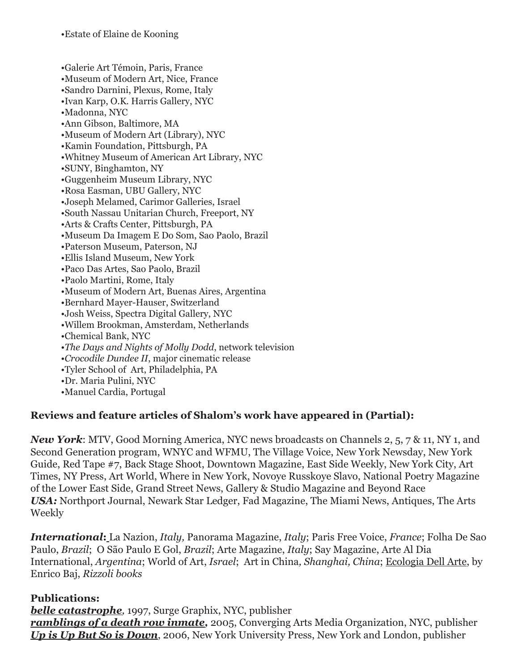•Galerie Art Témoin, Paris, France •Museum of Modern Art, Nice, France •Sandro Darnini, Plexus, Rome, Italy •Ivan Karp, O.K. Harris Gallery, NYC •Madonna, NYC •Ann Gibson, Baltimore, MA •Museum of Modern Art (Library), NYC •Kamin Foundation, Pittsburgh, PA •Whitney Museum of American Art Library, NYC •SUNY, Binghamton, NY •Guggenheim Museum Library, NYC •Rosa Easman, UBU Gallery, NYC •Joseph Melamed, Carimor Galleries, Israel •South Nassau Unitarian Church, Freeport, NY •Arts & Crafts Center, Pittsburgh, PA •Museum Da Imagem E Do Som, Sao Paolo, Brazil •Paterson Museum, Paterson, NJ •Ellis Island Museum, New York •Paco Das Artes, Sao Paolo, Brazil •Paolo Martini, Rome, Italy •Museum of Modern Art, Buenas Aires, Argentina •Bernhard Mayer-Hauser, Switzerland •Josh Weiss, Spectra Digital Gallery, NYC •Willem Brookman, Amsterdam, Netherlands •Chemical Bank, NYC •*The Days and Nights of Molly Dodd*, network television •*Crocodile Dundee II*, major cinematic release •Tyler School of Art, Philadelphia, PA •Dr. Maria Pulini, NYC •Manuel Cardia, Portugal

#### **Reviews and feature articles of Shalom's work have appeared in (Partial):**

*New York*: MTV, Good Morning America, NYC news broadcasts on Channels 2, 5, 7 & 11, NY 1, and Second Generation program, WNYC and WFMU, The Village Voice, New York Newsday, New York Guide, Red Tape #7, Back Stage Shoot, Downtown Magazine, East Side Weekly, New York City, Art Times, NY Press, Art World, Where in New York, Novoye Russkoye Slavo, National Poetry Magazine of the Lower East Side, Grand Street News, Gallery & Studio Magazine and Beyond Race *USA:* Northport Journal, Newark Star Ledger, Fad Magazine, The Miami News, Antiques, The Arts Weekly

*International***:** La Nazion, *Italy,* Panorama Magazine, *Italy*; Paris Free Voice, *France*; Folha De Sao Paulo, *Brazil*; O São Paulo E Gol, *Brazil*; Arte Magazine, *Italy*; Say Magazine, Arte Al Dia International, *Argentina*; World of Art, *Israel*; Art in China*, Shanghai, China*; Ecologia Dell Arte, by Enrico Baj, *Rizzoli books*

#### **Publications:**

*belle catastrophe,* 1997, Surge Graphix, NYC, publisher *ramblings of a death row inmate,* 2005, Converging Arts Media Organization, NYC, publisher *Up is Up But So is Down*, 2006, New York University Press, New York and London, publisher